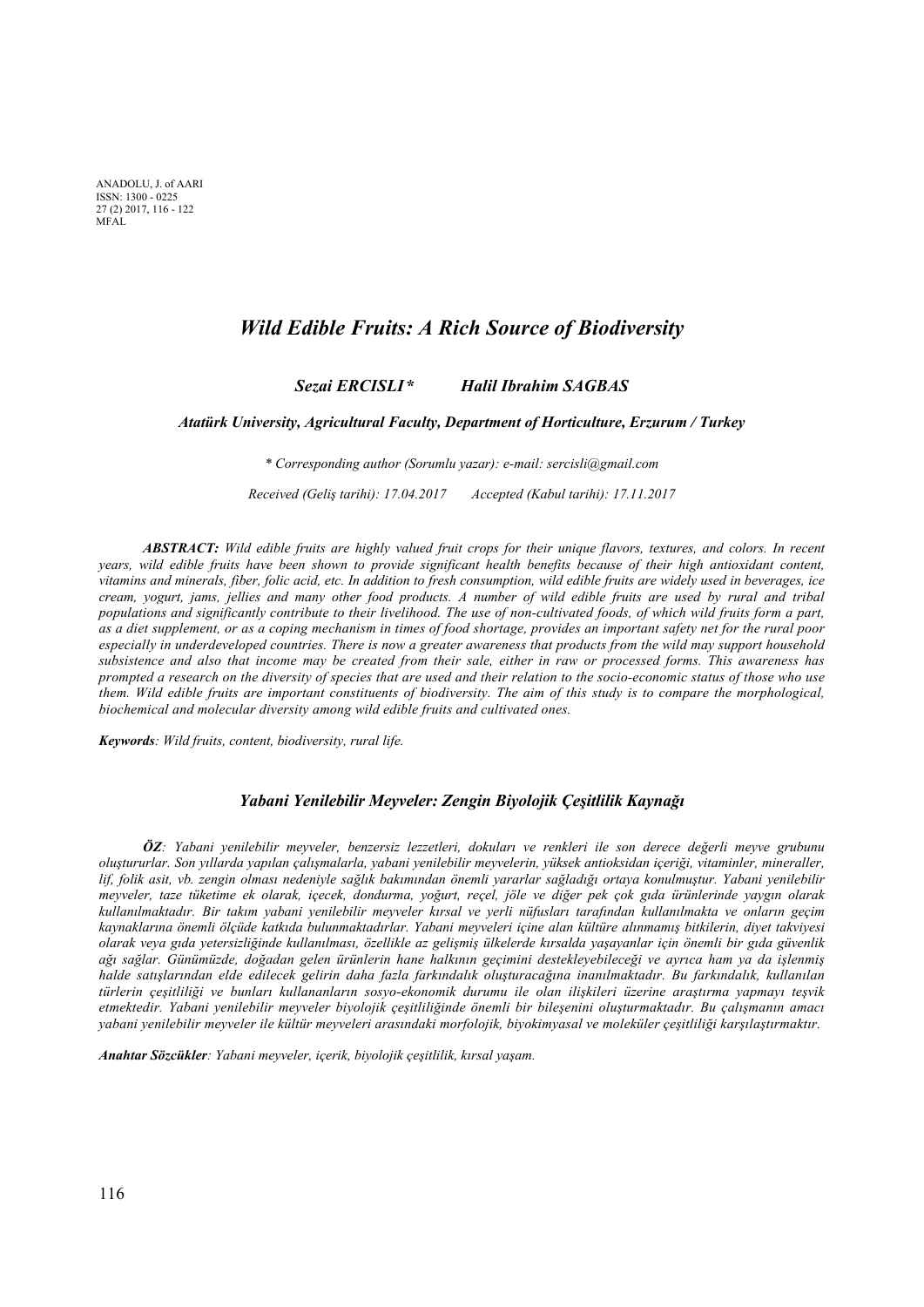ANADOLU, J. 01 *I*<br>ISSN: 1300 - 0225 ANADOLU, J. of AARI 27 (2) 2017, 116 - 122 MFAL

## *Wild Edible Fruits: A Rich Source of Biodiversity*

*Sezai ERCISLI \* Halil Ibrahim SAGBAS* 

*Atatürk University, Agricultural Faculty, Department of Horticulture, Erzurum / Turkey* 

*\* Corresponding author (Sorumlu yazar): e-mail: sercisli@gmail.com* 

*Received (Geliş tarihi): 17.04.2017 Accepted (Kabul tarihi): 17.11.2017*

*ABSTRACT: Wild edible fruits are highly valued fruit crops for their unique flavors, textures, and colors. In recent years, wild edible fruits have been shown to provide significant health benefits because of their high antioxidant content, vitamins and minerals, fiber, folic acid, etc. In addition to fresh consumption, wild edible fruits are widely used in beverages, ice cream, yogurt, jams, jellies and many other food products. A number of wild edible fruits are used by rural and tribal populations and significantly contribute to their livelihood. The use of non-cultivated foods, of which wild fruits form a part, as a diet supplement, or as a coping mechanism in times of food shortage, provides an important safety net for the rural poor especially in underdeveloped countries. There is now a greater awareness that products from the wild may support household subsistence and also that income may be created from their sale, either in raw or processed forms. This awareness has prompted a research on the diversity of species that are used and their relation to the socio-economic status of those who use them. Wild edible fruits are important constituents of biodiversity. The aim of this study is to compare the morphological, biochemical and molecular diversity among wild edible fruits and cultivated ones.* 

*Keywords: Wild fruits, content, biodiversity, rural life.* 

#### *Yabani Yenilebilir Meyveler: Zengin Biyolojik Çeşitlilik Kaynağı*

*ÖZ: Yabani yenilebilir meyveler, benzersiz lezzetleri, dokuları ve renkleri ile son derece değerli meyve grubunu oluştururlar. Son yıllarda yapılan çalışmalarla, yabani yenilebilir meyvelerin, yüksek antioksidan içeriği, vitaminler, mineraller, lif, folik asit, vb. zengin olması nedeniyle sağlık bakımından önemli yararlar sağladığı ortaya konulmuştur. Yabani yenilebilir meyveler, taze tüketime ek olarak, içecek, dondurma, yoğurt, reçel, jöle ve diğer pek çok gıda ürünlerinde yaygın olarak kullanılmaktadır. Bir takım yabani yenilebilir meyveler kırsal ve yerli nüfusları tarafından kullanılmakta ve onların geçim kaynaklarına önemli ölçüde katkıda bulunmaktadırlar. Yabani meyveleri içine alan kültüre alınmamış bitkilerin, diyet takviyesi olarak veya gıda yetersizliğinde kullanılması, özellikle az gelişmiş ülkelerde kırsalda yaşayanlar için önemli bir gıda güvenlik ağı sağlar. Günümüzde, doğadan gelen ürünlerin hane halkının geçimini destekleyebileceği ve ayrıca ham ya da işlenmiş halde satışlarından elde edilecek gelirin daha fazla farkındalık oluşturacağına inanılmaktadır. Bu farkındalık, kullanılan türlerin çeşitliliği ve bunları kullananların sosyo-ekonomik durumu ile olan ilişkileri üzerine araştırma yapmayı teşvik etmektedir. Yabani yenilebilir meyveler biyolojik çeşitliliğinde önemli bir bileşenini oluşturmaktadır. Bu çalışmanın amacı yabani yenilebilir meyveler ile kültür meyveleri arasındaki morfolojik, biyokimyasal ve moleküler çeşitliliği karşılaştırmaktır.* 

*Anahtar Sözcükler: Yabani meyveler, içerik, biyolojik çeşitlilik, kırsal yaşam.*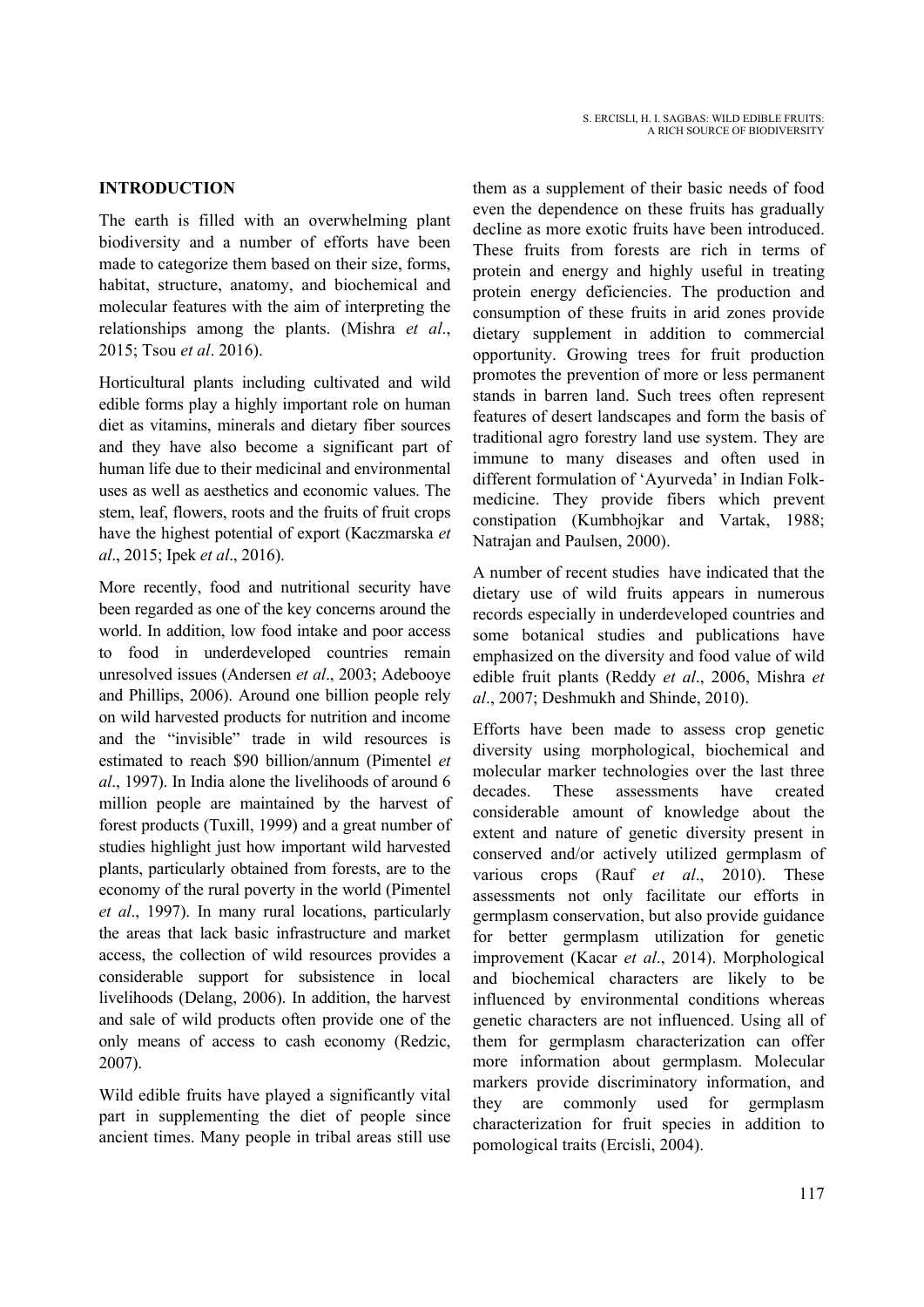# **INTRODUCTION**

The earth is filled with an overwhelming plant biodiversity and a number of efforts have been made to categorize them based on their size, forms, habitat, structure, anatomy, and biochemical and molecular features with the aim of interpreting the relationships among the plants. (Mishra *et al*., 2015; Tsou *et al*. 2016).

Horticultural plants including cultivated and wild edible forms play a highly important role on human diet as vitamins, minerals and dietary fiber sources and they have also become a significant part of human life due to their medicinal and environmental uses as well as aesthetics and economic values. The stem, leaf, flowers, roots and the fruits of fruit crops have the highest potential of export (Kaczmarska *et al*., 2015; Ipek *et al*., 2016).

More recently, food and nutritional security have been regarded as one of the key concerns around the world. In addition, low food intake and poor access to food in underdeveloped countries remain unresolved issues (Andersen *et al*., 2003; Adebooye and Phillips, 2006). Around one billion people rely on wild harvested products for nutrition and income and the "invisible" trade in wild resources is estimated to reach \$90 billion/annum (Pimentel *et al*., 1997). In India alone the livelihoods of around 6 million people are maintained by the harvest of forest products (Tuxill, 1999) and a great number of studies highlight just how important wild harvested plants, particularly obtained from forests, are to the economy of the rural poverty in the world (Pimentel *et al*., 1997). In many rural locations, particularly the areas that lack basic infrastructure and market access, the collection of wild resources provides a considerable support for subsistence in local livelihoods (Delang, 2006). In addition, the harvest and sale of wild products often provide one of the only means of access to cash economy (Redzic, 2007).

Wild edible fruits have played a significantly vital part in supplementing the diet of people since ancient times. Many people in tribal areas still use them as a supplement of their basic needs of food even the dependence on these fruits has gradually decline as more exotic fruits have been introduced. These fruits from forests are rich in terms of protein and energy and highly useful in treating protein energy deficiencies. The production and consumption of these fruits in arid zones provide dietary supplement in addition to commercial opportunity. Growing trees for fruit production promotes the prevention of more or less permanent stands in barren land. Such trees often represent features of desert landscapes and form the basis of traditional agro forestry land use system. They are immune to many diseases and often used in different formulation of 'Ayurveda' in Indian Folkmedicine. They provide fibers which prevent constipation (Kumbhojkar and Vartak, 1988; Natrajan and Paulsen, 2000).

A number of recent studies have indicated that the dietary use of wild fruits appears in numerous records especially in underdeveloped countries and some botanical studies and publications have emphasized on the diversity and food value of wild edible fruit plants (Reddy *et al*., 2006, Mishra *et al*., 2007; Deshmukh and Shinde, 2010).

Efforts have been made to assess crop genetic diversity using morphological, biochemical and molecular marker technologies over the last three decades. These assessments have created considerable amount of knowledge about the extent and nature of genetic diversity present in conserved and/or actively utilized germplasm of various crops (Rauf *et al*., 2010). These assessments not only facilitate our efforts in germplasm conservation, but also provide guidance for better germplasm utilization for genetic improvement (Kacar *et al*., 2014). Morphological and biochemical characters are likely to be influenced by environmental conditions whereas genetic characters are not influenced. Using all of them for germplasm characterization can offer more information about germplasm. Molecular markers provide discriminatory information, and they are commonly used for germplasm characterization for fruit species in addition to pomological traits (Ercisli, 2004).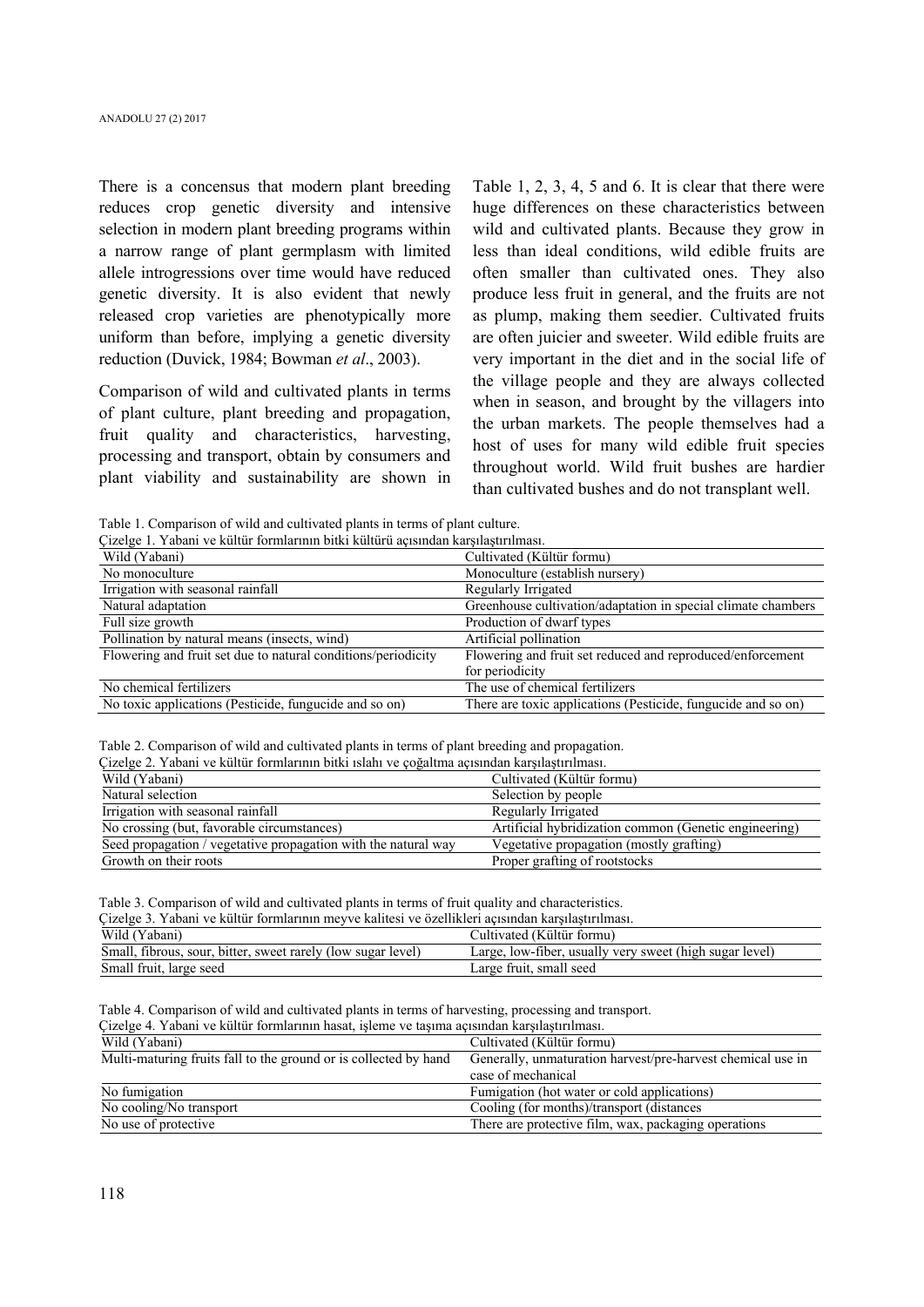There is a concensus that modern plant breeding reduces crop genetic diversity and intensive selection in modern plant breeding programs within a narrow range of plant germplasm with limited allele introgressions over time would have reduced genetic diversity. It is also evident that newly released crop varieties are phenotypically more uniform than before, implying a genetic diversity reduction (Duvick, 1984; Bowman *et al*., 2003).

Comparison of wild and cultivated plants in terms of plant culture, plant breeding and propagation, fruit quality and characteristics, harvesting, processing and transport, obtain by consumers and plant viability and sustainability are shown in Table 1, 2, 3, 4, 5 and 6. It is clear that there were huge differences on these characteristics between wild and cultivated plants. Because they grow in less than ideal conditions, wild edible fruits are often smaller than cultivated ones. They also produce less fruit in general, and the fruits are not as plump, making them seedier. Cultivated fruits are often juicier and sweeter. Wild edible fruits are very important in the diet and in the social life of the village people and they are always collected when in season, and brought by the villagers into the urban markets. The people themselves had a host of uses for many wild edible fruit species throughout world. Wild fruit bushes are hardier than cultivated bushes and do not transplant well.

Table 1. Comparison of wild and cultivated plants in terms of plant culture.

| Çizelge 1. Yabani ve kültür formlarının bitki kültürü açısından karşılaştırılması. |                                                               |  |  |  |  |
|------------------------------------------------------------------------------------|---------------------------------------------------------------|--|--|--|--|
| Wild (Yabani)                                                                      | Cultivated (Kültür formu)                                     |  |  |  |  |
| No monoculture                                                                     | Monoculture (establish nursery)                               |  |  |  |  |
| Irrigation with seasonal rainfall                                                  | Regularly Irrigated                                           |  |  |  |  |
| Natural adaptation                                                                 | Greenhouse cultivation/adaptation in special climate chambers |  |  |  |  |
| Full size growth                                                                   | Production of dwarf types                                     |  |  |  |  |
| Pollination by natural means (insects, wind)                                       | Artificial pollination                                        |  |  |  |  |
| Flowering and fruit set due to natural conditions/periodicity                      | Flowering and fruit set reduced and reproduced/enforcement    |  |  |  |  |
|                                                                                    | for periodicity                                               |  |  |  |  |
| No chemical fertilizers                                                            | The use of chemical fertilizers                               |  |  |  |  |
| No toxic applications (Pesticide, fungucide and so on)                             | There are toxic applications (Pesticide, fungucide and so on) |  |  |  |  |

Table 2. Comparison of wild and cultivated plants in terms of plant breeding and propagation.

Çizelge 2. Yabani ve kültür formlarının bitki ıslahı ve çoğaltma açısından karşılaştırılması.

| Силле 2. Табаті ус Киниі тогініагінің бикі ізіані ус соданны асізніцан кагуналігініңді. |                                                       |  |  |  |  |
|-----------------------------------------------------------------------------------------|-------------------------------------------------------|--|--|--|--|
| Wild (Yabani)                                                                           | Cultivated (Kültür formu)                             |  |  |  |  |
| Natural selection                                                                       | Selection by people                                   |  |  |  |  |
| Irrigation with seasonal rainfall                                                       | Regularly Irrigated                                   |  |  |  |  |
| No crossing (but, favorable circumstances)                                              | Artificial hybridization common (Genetic engineering) |  |  |  |  |
| Seed propagation / vegetative propagation with the natural way                          | Vegetative propagation (mostly grafting)              |  |  |  |  |
| Growth on their roots                                                                   | Proper grafting of rootstocks                         |  |  |  |  |

Table 3. Comparison of wild and cultivated plants in terms of fruit quality and characteristics.

| Cizelge 3. Yabani ve kültür formlarının meyve kalitesi ve özellikleri açısından karşılaştırılması. |                                                         |  |  |  |  |
|----------------------------------------------------------------------------------------------------|---------------------------------------------------------|--|--|--|--|
| Wild (Yabani)                                                                                      | Cultivated (Kültür formu)                               |  |  |  |  |
| Small, fibrous, sour, bitter, sweet rarely (low sugar level)                                       | Large, low-fiber, usually very sweet (high sugar level) |  |  |  |  |
| Small fruit, large seed                                                                            | Large fruit, small seed                                 |  |  |  |  |

Table 4. Comparison of wild and cultivated plants in terms of harvesting, processing and transport.

| Cizelge 4. Yabani ve kültür formlarının hasat, isleme ve tasıma açısından karsılastırılması. |                                                             |  |  |  |  |
|----------------------------------------------------------------------------------------------|-------------------------------------------------------------|--|--|--|--|
| Wild (Yabani)                                                                                | Cultivated (Kültür formu)                                   |  |  |  |  |
| Multi-maturing fruits fall to the ground or is collected by hand                             | Generally, unmaturation harvest/pre-harvest chemical use in |  |  |  |  |
|                                                                                              | case of mechanical                                          |  |  |  |  |
| No fumigation                                                                                | Fumigation (hot water or cold applications)                 |  |  |  |  |
| No cooling/No transport                                                                      | Cooling (for months)/transport (distances                   |  |  |  |  |
| No use of protective                                                                         | There are protective film, wax, packaging operations        |  |  |  |  |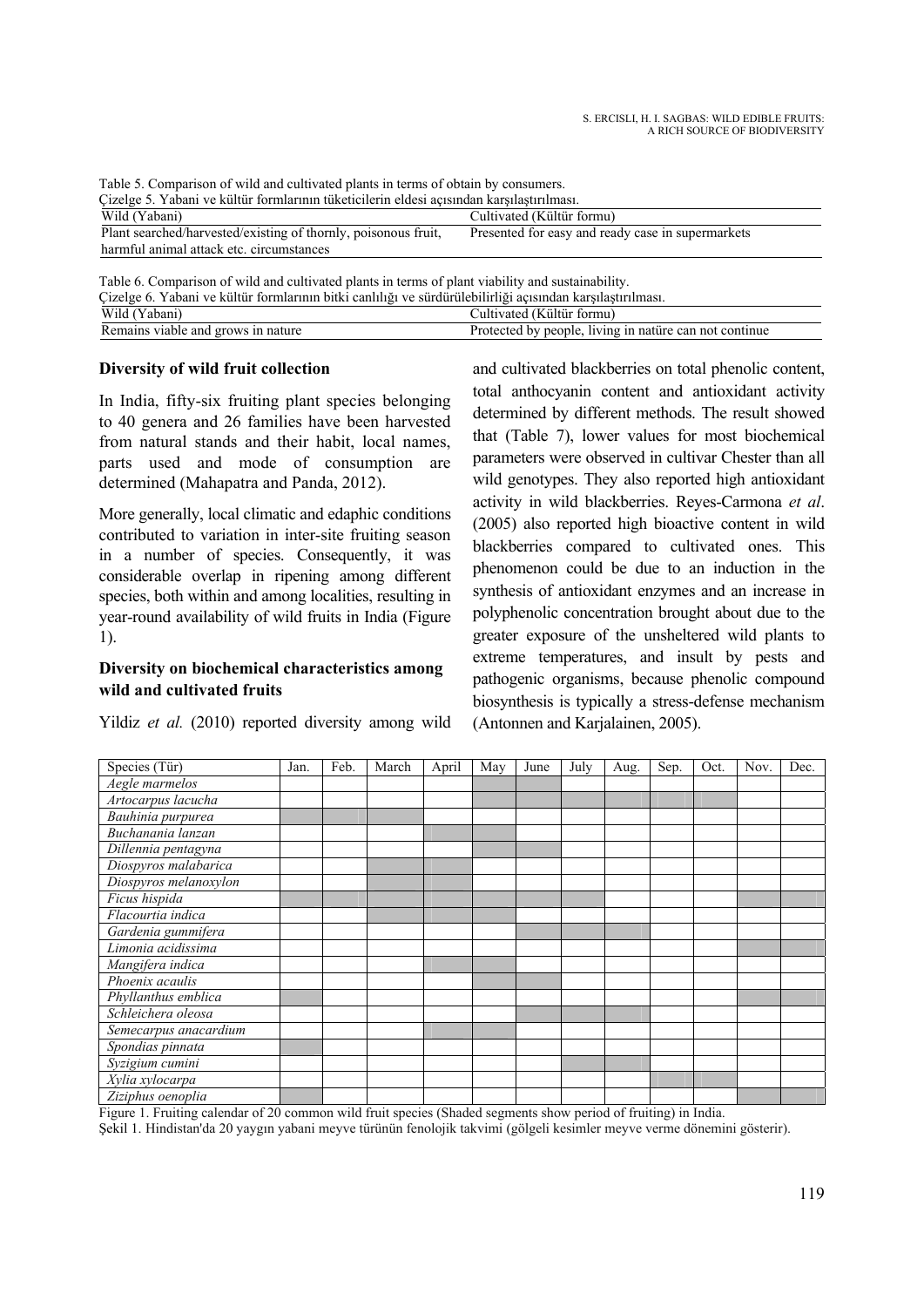| Table 5. Comparison of wild and cultivated plants in terms of obtain by consumers.        |                                                   |  |  |  |  |
|-------------------------------------------------------------------------------------------|---------------------------------------------------|--|--|--|--|
| Cizelge 5. Yabani ve kültür formlarının tüketicilerin eldesi açısından karşılaştırılması. |                                                   |  |  |  |  |
| Wild (Yabani)<br>Cultivated (Kültür formu)                                                |                                                   |  |  |  |  |
| Plant searched/harvested/existing of thornly, poisonous fruit,                            | Presented for easy and ready case in supermarkets |  |  |  |  |
| harmful animal attack etc. circumstances                                                  |                                                   |  |  |  |  |
|                                                                                           |                                                   |  |  |  |  |

Table 6. Comparison of wild and cultivated plants in terms of plant viability and sustainability.

| Cizelge 6. Yabani ve kültür formlarının bitki canlılığı ve sürdürülebilirliği açısından karşılaştırılması. |                                                        |
|------------------------------------------------------------------------------------------------------------|--------------------------------------------------------|
| Wild (Yabani)                                                                                              | Cultivated (Kültür formu)                              |
| Remains viable and grows in nature                                                                         | Protected by people, living in nature can not continue |

### **Diversity of wild fruit collection**

In India, fifty-six fruiting plant species belonging to 40 genera and 26 families have been harvested from natural stands and their habit, local names, parts used and mode of consumption are determined (Mahapatra and Panda, 2012).

More generally, local climatic and edaphic conditions contributed to variation in inter-site fruiting season in a number of species. Consequently, it was considerable overlap in ripening among different species, both within and among localities, resulting in year-round availability of wild fruits in India (Figure 1).

## **Diversity on biochemical characteristics among wild and cultivated fruits**

Yildiz *et al.* (2010) reported diversity among wild

and cultivated blackberries on total phenolic content, total anthocyanin content and antioxidant activity determined by different methods. The result showed that (Table 7), lower values for most biochemical parameters were observed in cultivar Chester than all wild genotypes. They also reported high antioxidant activity in wild blackberries. Reyes-Carmona *et al*. (2005) also reported high bioactive content in wild blackberries compared to cultivated ones. This phenomenon could be due to an induction in the synthesis of antioxidant enzymes and an increase in polyphenolic concentration brought about due to the greater exposure of the unsheltered wild plants to extreme temperatures, and insult by pests and pathogenic organisms, because phenolic compound biosynthesis is typically a stress-defense mechanism (Antonnen and Karjalainen, 2005).

| Species (Tür)         | Jan. | Feb. | March | April | May | June | July | Aug. | Sep. | Oct. | Nov. | Dec. |
|-----------------------|------|------|-------|-------|-----|------|------|------|------|------|------|------|
| $Aeg$ le marmelos     |      |      |       |       |     |      |      |      |      |      |      |      |
| Artocarpus lacucha    |      |      |       |       |     |      |      |      |      |      |      |      |
| Bauhinia purpurea     |      |      |       |       |     |      |      |      |      |      |      |      |
| Buchanania lanzan     |      |      |       |       |     |      |      |      |      |      |      |      |
| Dillennia pentagyna   |      |      |       |       |     |      |      |      |      |      |      |      |
| Diospyros malabarica  |      |      |       |       |     |      |      |      |      |      |      |      |
| Diospyros melanoxylon |      |      |       |       |     |      |      |      |      |      |      |      |
| Ficus hispida         |      |      |       |       |     |      |      |      |      |      |      |      |
| Flacourtia indica     |      |      |       |       |     |      |      |      |      |      |      |      |
| Gardenia gummifera    |      |      |       |       |     |      |      |      |      |      |      |      |
| Limonia acidissima    |      |      |       |       |     |      |      |      |      |      |      |      |
| Mangifera indica      |      |      |       |       |     |      |      |      |      |      |      |      |
| Phoenix acaulis       |      |      |       |       |     |      |      |      |      |      |      |      |
| Phyllanthus emblica   |      |      |       |       |     |      |      |      |      |      |      |      |
| Schleichera oleosa    |      |      |       |       |     |      |      |      |      |      |      |      |
| Semecarpus anacardium |      |      |       |       |     |      |      |      |      |      |      |      |
| Spondias pinnata      |      |      |       |       |     |      |      |      |      |      |      |      |
| Syzigium cumini       |      |      |       |       |     |      |      |      |      |      |      |      |
| Xylia xylocarpa       |      |      |       |       |     |      |      |      |      |      |      |      |
| Ziziphus oenoplia     |      |      |       |       |     |      |      |      |      |      |      |      |

Figure 1. Fruiting calendar of 20 common wild fruit species (Shaded segments show period of fruiting) in India.

Şekil 1. Hindistan'da 20 yaygın yabani meyve türünün fenolojik takvimi (gölgeli kesimler meyve verme dönemini gösterir).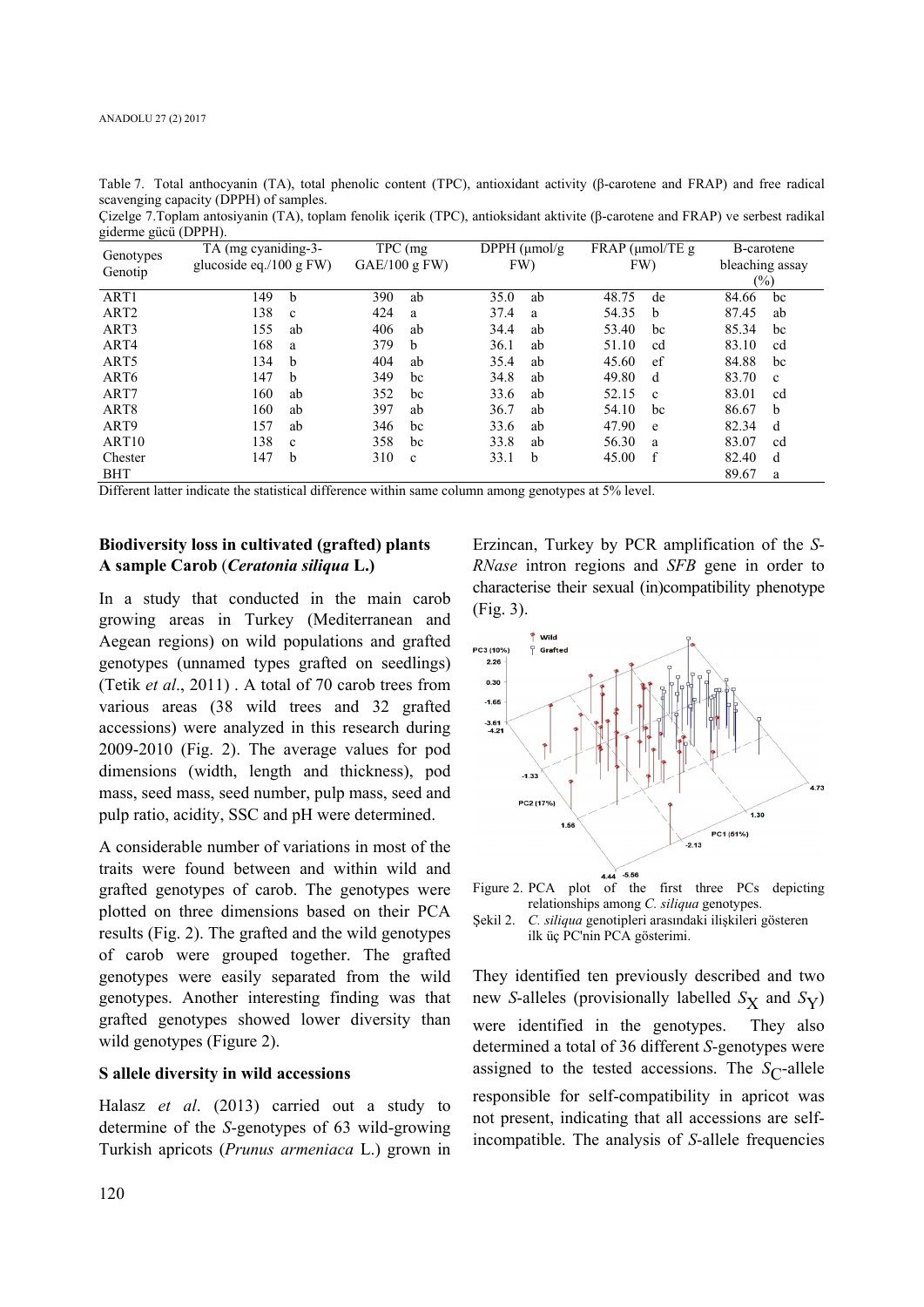| giderme gücü (DPPH). |                            |             |                           |                   |                 |  |
|----------------------|----------------------------|-------------|---------------------------|-------------------|-----------------|--|
| Genotypes            | TA (mg cyaniding-3-        | TPC (mg)    | DPPH $(\mu \text{mol/g})$ | $FRAP$ (µmol/TE g | B-carotene      |  |
| Genotip              | glucoside eq./100 g $FW$ ) | GAE/100 gFW | FW)                       | FW)               | bleaching assay |  |
|                      |                            |             |                           |                   | $(\%)$          |  |
| ART1                 | 149                        | 390         | 35.0                      | 48.75             | 84.66           |  |
|                      | b                          | ab          | ab                        | de                | bc              |  |
| ART <sub>2</sub>     | 138                        | 424         | 37.4                      | 54.35             | 87.45           |  |
|                      | $\mathbf{c}$               | a           | a                         | <sub>b</sub>      | ab              |  |
| ART3                 | 155                        | 406         | 34.4                      | 53.40             | 85.34           |  |
|                      | ab                         | ab          | ab                        | bc                | bc              |  |
| ART4                 | 168                        | 379         | 36.1                      | 51.10             | 83.10           |  |
|                      | a                          | b           | ab                        | cd                | cd              |  |
| ART <sub>5</sub>     | 134                        | 404         | 35.4                      | 45.60             | 84.88           |  |
|                      | b                          | ab          | ab                        | ef                | bc              |  |
| ART <sub>6</sub>     | 147                        | 349         | 34.8                      | 49.80             | 83.70           |  |
|                      | b                          | bc          | ab                        | d                 | $\mathbf{c}$    |  |
| ART7                 | 160                        | 352         | 33.6                      | 52.15             | 83.01           |  |
|                      | ab                         | bc          | ab                        | $\mathbf{c}$      | cd              |  |
| ART <sub>8</sub>     | 160                        | 397         | 36.7                      | 54.10             | 86.67           |  |
|                      | ab                         | ab          | ab                        | bc                | b               |  |
| ART9                 | 157                        | 346         | 33.6                      | 47.90             | 82.34           |  |
|                      | ab                         | bc          | ab                        | e                 | d               |  |
| ART <sub>10</sub>    | 138                        | 358         | 33.8                      | 56.30             | 83.07           |  |
|                      | $\mathbf{c}$               | bc          | ab                        | a                 | cd              |  |
| Chester              | 147                        | 310         | b                         | f                 | 82.40           |  |
|                      | b                          | $\mathbf c$ | 33.1                      | 45.00             | d               |  |
| <b>BHT</b>           |                            |             |                           |                   | 89.67<br>a      |  |

Table 7. Total anthocyanin (TA), total phenolic content (TPC), antioxidant activity (β-carotene and FRAP) and free radical scavenging capacity (DPPH) of samples. Çizelge 7.Toplam antosiyanin (TA), toplam fenolik içerik (TPC), antioksidant aktivite (β-carotene and FRAP) ve serbest radikal

Different latter indicate the statistical difference within same column among genotypes at 5% level.

### **Biodiversity loss in cultivated (grafted) plants A sample Carob** (*Ceratonia siliqua* **L.)**

In a study that conducted in the main carob growing areas in Turkey (Mediterranean and Aegean regions) on wild populations and grafted genotypes (unnamed types grafted on seedlings) (Tetik *et al*., 2011) . A total of 70 carob trees from various areas (38 wild trees and 32 grafted accessions) were analyzed in this research during 2009-2010 (Fig. 2). The average values for pod dimensions (width, length and thickness), pod mass, seed mass, seed number, pulp mass, seed and pulp ratio, acidity, SSC and pH were determined.

A considerable number of variations in most of the traits were found between and within wild and grafted genotypes of carob. The genotypes were plotted on three dimensions based on their PCA results (Fig. 2). The grafted and the wild genotypes of carob were grouped together. The grafted genotypes were easily separated from the wild genotypes. Another interesting finding was that grafted genotypes showed lower diversity than wild genotypes (Figure 2).

#### **S allele diversity in wild accessions**

Halasz *et al*. (2013) carried out a study to determine of the *S*-genotypes of 63 wild-growing Turkish apricots (*Prunus armeniaca* L.) grown in

Erzincan, Turkey by PCR amplification of the *S*-*RNase* intron regions and *SFB* gene in order to characterise their sexual (in)compatibility phenotype (Fig. 3).



relationships among *C. siliqua* genotypes. Şekil 2. *C. siliqua* genotipleri arasındaki ilişkileri gösteren

ilk üç PC'nin PCA gösterimi.

They identified ten previously described and two new *S*-alleles (provisionally labelled  $S_X$  and  $S_Y$ ) were identified in the genotypes. They also determined a total of 36 different *S*-genotypes were assigned to the tested accessions. The  $S_{\Gamma}$ -allele responsible for self-compatibility in apricot was not present, indicating that all accessions are selfincompatible. The analysis of *S*-allele frequencies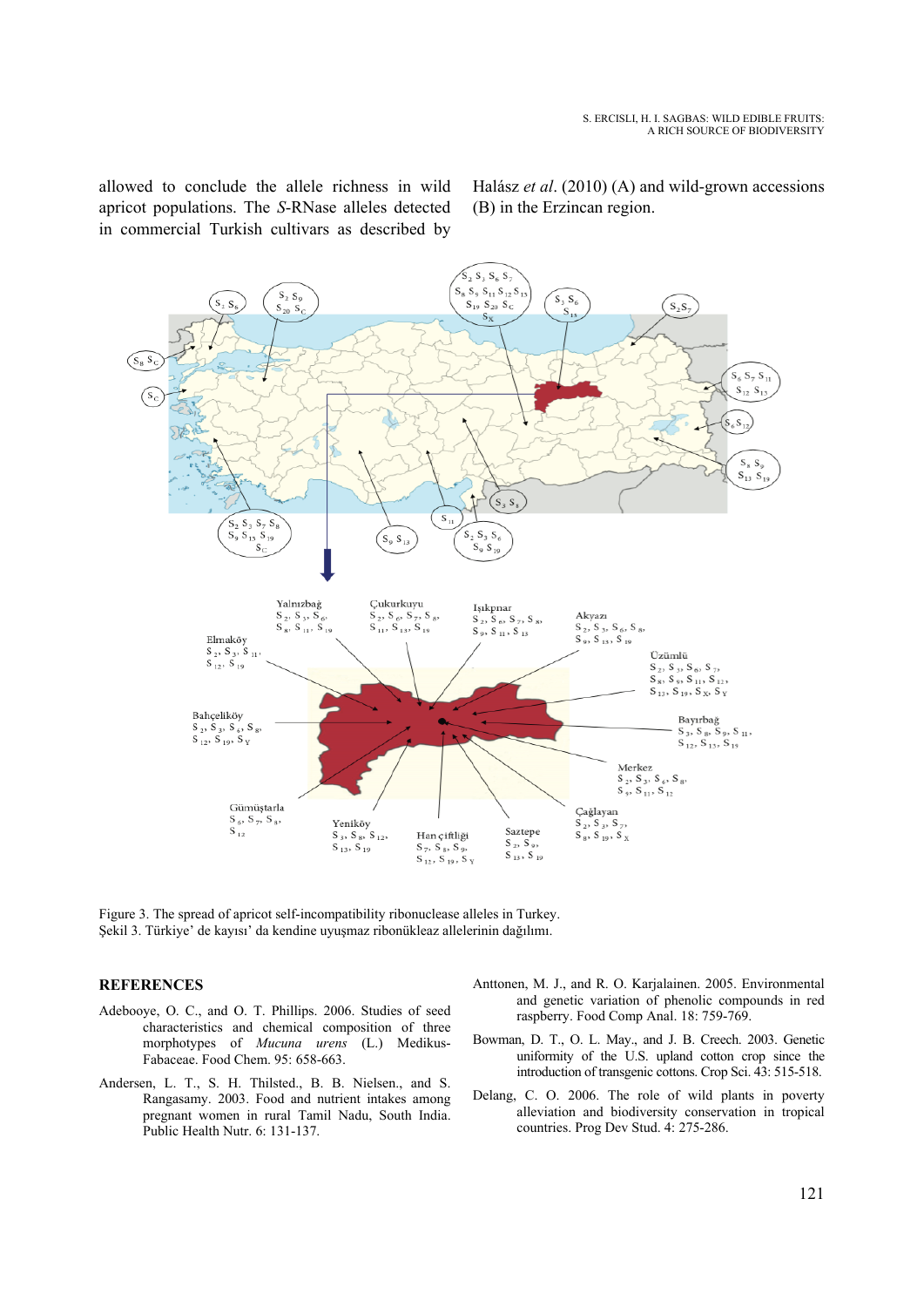allowed to conclude the allele richness in wild apricot populations. The *S*-RNase alleles detected in commercial Turkish cultivars as described by Halász *et al*. (2010) (A) and wild-grown accessions (B) in the Erzincan region.



Figure 3. The spread of apricot self-incompatibility ribonuclease alleles in Turkey. Şekil 3. Türkiye' de kayısı' da kendine uyuşmaz ribonükleaz allelerinin dağılımı.

#### **REFERENCES**

- Adebooye, O. C., and O. T. Phillips. 2006. Studies of seed characteristics and chemical composition of three morphotypes of *Mucuna urens* (L.) Medikus-Fabaceae. Food Chem. 95: 658-663.
- Andersen, L. T., S. H. Thilsted., B. B. Nielsen., and S. Rangasamy. 2003. Food and nutrient intakes among pregnant women in rural Tamil Nadu, South India. Public Health Nutr. 6: 131-137.
- Anttonen, M. J., and R. O. Karjalainen. 2005. Environmental and genetic variation of phenolic compounds in red raspberry. Food Comp Anal. 18: 759-769.
- Bowman, D. T., O. L. May., and J. B. Creech. 2003. Genetic uniformity of the U.S. upland cotton crop since the introduction of transgenic cottons. Crop Sci. 43: 515-518.
- Delang, C. O. 2006. The role of wild plants in poverty alleviation and biodiversity conservation in tropical countries. Prog Dev Stud. 4: 275-286.